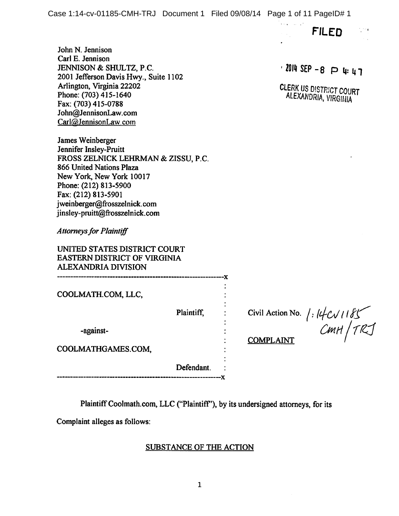*FILED*

John N. Jennison Carl E. Jennison JENNISON & SHULTZ, P.C. 2001 Jefferson Davis Hwy., Suite 1102 Arlington, Virginia 22202 Phone: (703) 415-1640 Fax:(703)415-0788 John@JennisonLaw. com Carl@JennisonLaw.com

James Weinberger Jennifer Insley-Pruitt FROSS ZELNICK LEHRMAN & ZISSU, P.C. 866 United Nations Plaza New York, New York 10017 Phone: (212) 813-5900 Fax: (212) 813-5901 jweinberger@frosszelnick.com jinsley-pruitt@frosszelnick. com

**Attorneys for Plaintiff** 

UNITED STATES DISTRICT COURT EASTERN DISTRICT OF VIRGINIA ALEXANDRIA DIVISION

COOLMATH.COM, LLC,

Plaintiff,

—x

-x

Civil Action No.  $/$  *f*  $|4C\sqrt{1185}$ <br>CMPI AFAIT

COMPLAINT

COOLMATHGAMES.COM,

-against-

Defendant.

Plaintiff Coolmath.com, LLC ("Plaintiff"), by its undersigned attorneys, for its

Complaint alleges as follows:

## SUBSTANCE OF THE ACTION

*•201(1 SEP -8 P if in*

CLERK US DISTRICT COURT<br>ALEXANDRIA, VIRGINIA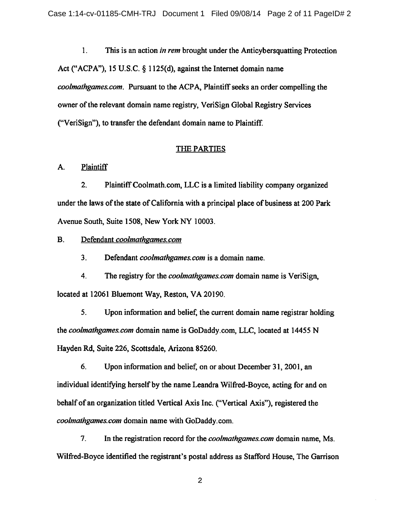1. This is an action **in rem** brought under the Anticybersquatting Protection Act ("ACPA"), 15 U.S.C. § 1125(d), against the Internet domain name **coolmathgames.com.** Pursuant to the ACPA, Plaintiffseeks an order compelling the owner ofthe relevant domain name registry, VeriSign Global Registry Services ("VeriSign"), to transfer the defendant domain name to Plaintiff.

### THE PARTIES

### A. Plaintiff

2. Plaintiff Coolmath.com, LLC is a limited liability company organized under the laws of the state of California with a principal place of business at 200 Park Avenue South, Suite 1508, New York NY 10003.

## B. Defendant **coolmathgames.com**

3. Defendant **coolmathgames.com** is a domain name.

4. The registry for the **coolmathgames.com** domain name is VeriSign, located at 12061 Bluemont Way, Reston, VA 20190.

5. Upon information and belief, the current domain name registrar holding the **coolmathgames.com** domain name is GoDaddy.com, LLC, located at 14455 N Hayden Rd, Suite 226, Scottsdale, Arizona 85260.

6. Upon information and belief, on or about December 31, 2001, an individual identifying herself by the name Leandra Wilfred-Boyce, acting for and on behalf of an organization titled Vertical Axis Inc. ("Vertical Axis"), registered the **coolmathgames.com** domain name with GoDaddy.com.

7. In the registration record for the **coolmathgames.com** domain name, Ms. Wilfred-Boyce identified the registrant's postal address as Stafford House, The Garrison

 $\overline{c}$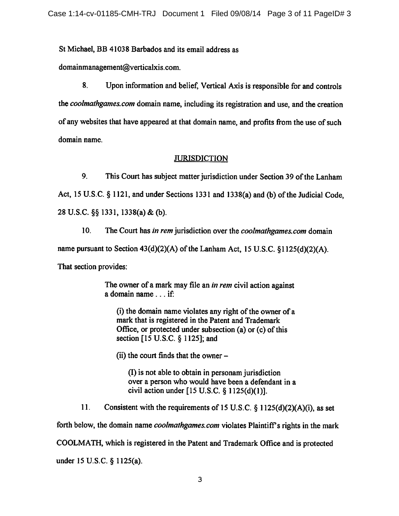St Michael, BB 41038 Barbados and its email address as

domainmanagement@verticalxis.com.

8. Upon information and belief, Vertical Axis is responsible for and controls the **coolmathgames.com** domain name, including its registration and use, and the creation of any websites that have appeared at that domain name, and profits from the use of such domain name.

# **JURISDICTION**

9. This Court has subject matter jurisdiction under Section 39 of the Lanham Act, 15 U.S.C. § 1121, and under Sections 1331 and 1338(a) and (b) of the Judicial Code, 28 U.S.C. §§ 1331, 1338(a) & (b).

10. The Court has **in rem**jurisdiction over the **coolmathgames. com** domain name pursuant to Section  $43(d)(2)(A)$  of the Lanham Act, 15 U.S.C. §1125(d)(2)(A). That section provides:

> The owner of a mark may file an *in rem* civil action against <sup>a</sup> domain name... if:

 $(i)$  the domain name violates any right of the owner of a mark that is registered in the Patent and Trademark Office, or protected under subsection  $(a)$  or  $(c)$  of this section [15 U.S.C. § 1125]; and

 $(ii)$  the court finds that the owner  $-$ 

(I) is not able to obtain in personamjurisdiction over a person who would have been a defendant in a civil action under [15 U.S.C. § 1125(d)(1)].

11. Consistent with the requirements of 15 U.S.C. § 1125(d)(2)(A)(i), as set

forth below, the domain name *coolmathgames.com* violates Plaintiff's rights in the mark

COOLMATH, which is registered in the Patent and Trademark Office and is protected

under 15 U.S.C. § 1125(a).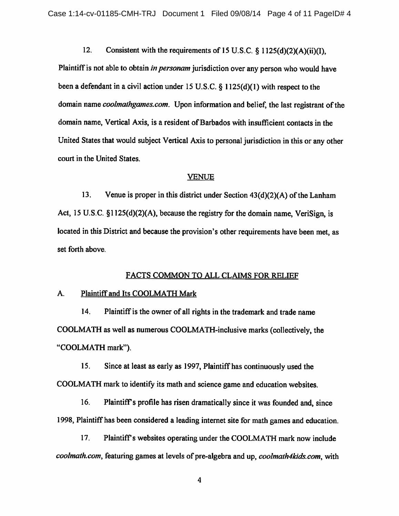12. Consistent with the requirements of 15 U.S.C. § 1125(d)(2)(A)(ii)(I),

Plaintiff is not able to obtain in personam jurisdiction over any person who would have been a defendant in a civil action under 15 U.S.C.  $\S$  1125(d)(1) with respect to the domain name *coolmathgames.com*. Upon information and belief, the last registrant of the domain name, Vertical Axis, is a resident of Barbados with insufficient contacts in the United States that would subject Vertical Axis to personal jurisdiction in this or any other court in the United States.

#### VENUE

13. Venue is proper in this district under Section  $43(d)(2)(A)$  of the Lanham Act, 15U.S.C. §1125(d)(2)(A), because the registry for the domain name, VeriSign, is located in this District and because the provision's other requirements have been met, as set forth above.

#### FACTS COMMON TO ALL CLAIMS FOR RELIEF

## A. Plaintiff and Its COOLMATH Mark

14. Plaintiff is the owner of all rights in the trademark and trade name COOLMATH as well as numerous COOLMATH-inclusive marks (collectively, the "COOLMATH mark").

15. Sinceat least as early as 1997, Plaintiffhas continuously used the COOLMATH mark to identify its math and science game and education websites.

16. Plaintiff's profile has risen dramatically since it was founded and, since 1998, Plaintiff has been considered a leading internet site for math games and education.

17. Plaintiff's websites operating under the COOLMATH mark now include coolmath.com, featuring games at levels of pre-algebra and up, *coolmath4kids.com*, with

 $\overline{\mathbf{4}}$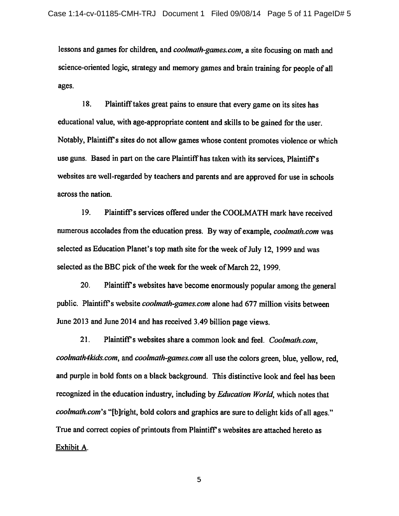lessons and games for children, and *coolmath-games.com*, a site focusing on math and science-oriented logic, strategy and memory games and brain training for people of all ages.

18. Plaintiff takes great pains to ensure that every game on its sites has educational value, with age-appropriate contentand skills to be gained for the user. Notably, Plaintiff's sites do not allow games whose content promotes violence or which use guns. Based in part on the care Plaintiff has taken with its services, Plaintiff's websites are well-regarded by teachers and parents and are approved for use in schools across the nation.

19. Plaintiff's services offered under the COOLMATH mark have received numerous accolades from the education press. By way ofexample, **coolmath.com** was selected as Education Planet's top math site for the week of July 12, 1999 and was selected as the BBC pick of the week for the week of March 22, 1999.

20. Plaintiff's websites have become enormously popular among the general public. Plaintiff's website *coolmath-games.com* alone had 677 million visits between June 2013 and June 2014 and has received 3.49 billion page views.

21. Plaintiffs websites share a common look and feel. **Coolmath.com, coolmath4kids.com,** and **coolmath-games.com** alluse the colors green, blue, yellow, red, and purple in bold fonts on a black background. This distinctive look and feel has been recognized in the education industry, including by **Education World,** which notes that *coolmath.com's* "[b]right, bold colors and graphics are sure to delight kids of all ages." True and correct copies of printouts from Plaintiff's websites are attached hereto as Exhibit A.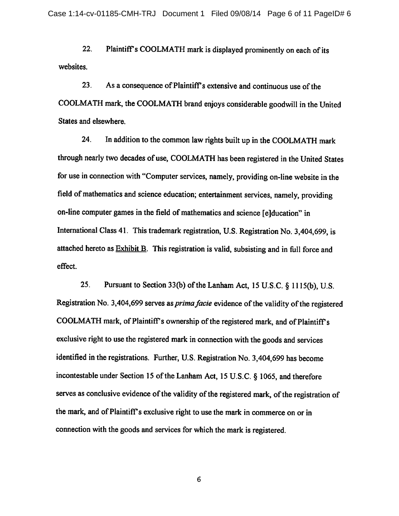22. Plaintiff's COOLMATH mark is displayed prominently on each of its websites.

23. As a consequence of Plaintiff's extensive and continuous use of the COOLMATH mark, the COOLMATH brand enjoys considerable goodwill in the United States and elsewhere.

24. In addition to the common law rights built up in the COOLMATH mark through nearly two decades of use, COOLMATH has been registered in the United States for use in connection with"Computer services, namely, providing on-line website in the field of mathematics and science education; entertainment services, namely, providing on-line computer games in the field of mathematics and science [e] ducation" in International Class 41. This trademark registration, U.S. Registration No. 3,404,699, is attached hereto as  $Exhibit B$ . This registration is valid, subsisting and in full force and effect.

25. Pursuant to Section 33(b) of theLanham Act, 15 U.S.C. § 1115(b), U.S. Registration No. 3,404,699 serves as *prima facie* evidence of the validity of the registered COOLMATH mark, of Plaintiff's ownership of the registered mark, and of Plaintiff's exclusive right to use the registered mark in connection with the goods and services identified in the registrations. Further, U.S. Registration No. 3,404,699 has become incontestable under Section 15 of the Lanham Act, 15 U.S.C. § 1065, and therefore serves as conclusive evidence of the validity of the registered mark, of the registration of the mark, and of Plaintiff's exclusive right to use the mark in commerce on or in connection with the goods and services for which the mark is registered.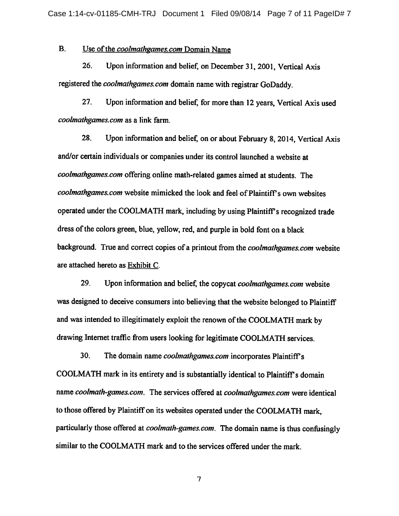## B. Use of the *coolmathgames.com* Domain Name

26. Upon information and belief, on December 31, 2001, Vertical Axis registered the**coolmalhgames.com** domain name with registrar GoDaddy.

27. Upon information and belief, for more than 12 years, Vertical Axis used **coolmathgames.com** as a link farm.

28. Upon information and belief, on or about February 8, 2014, Vertical Axis and/or certain individuals or companies under its control launched a website at **coolmathgames.com** offering online math-related games aimed at students. The *coolmathgames.com* website mimicked the look and feel of Plaintiff's own websites operated under the COOLMATH mark, including by using Plaintiff's recognized trade dress of the colors green, blue, yellow, red, and purple in bold font on a black background. True and correct copies of a printout from the *coolmathgames.com* website are attached hereto as Exhibit C.

29. Upon information and belief, the copycat**coolmathgames.com** website was designed to deceive consumers into believing that the website belonged to Plaintiff and was intended to illegitimately exploit the renown of the COOLMATH mark by drawing Internet traffic from users looking for legitimate COOLMATH services.

30. The domain name **coolmathgames.com** incorporates Plaintiffs COOLMATH mark in its entirety and is substantially identical to Plaintiff's domain name**coolmath-games.com.** The services offered at **coolmathgames.com** were identical to those offered by Plaintiff on its websites operated under the COOLMATH mark. particularly those offered at **coolmath-games.com.** The domain name isthus confusingly similar to the COOLMATH mark and to the services offered under the mark.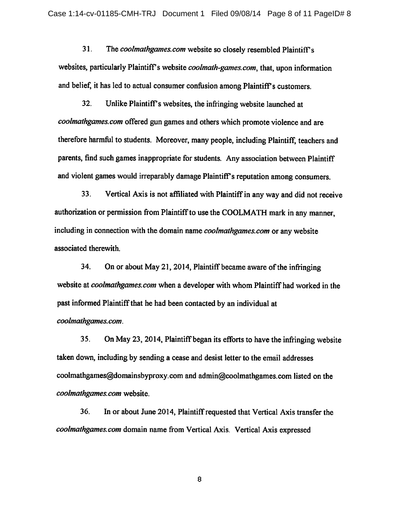31. The *coolmathgames.com* website so closely resembled Plaintiff's websites, particularly Plaintiff's website *coolmath-games.com*, that, upon information and belief, it has led to actual consumer confusion among Plaintiff's customers.

32. Unlike Plaintiff's websites, the infringing website launched at *coolmathgames.com* offered gun games and others which promote violence and are therefore harmful to students. Moreover, many people, including Plaintiff, teachers and parents, find such games inappropriate for students. Any association between Plaintiff and violent games would irreparably damage Plaintiff's reputation among consumers.

33. Vertical Axis is not affiliated with Plaintiffin any way and did not receive authorization or permission from Plaintiff to use the COOLMATH mark in any manner, including in connection with the domain name**coolmathgames.com** or any website associated therewith.

34. On or about May 21, 2014, Plaintiff became aware of the infringing website at **coolmathgames.com** when a developer with whom Plaintiff had worked in the past informed Plaintiff that he had been contacted by an individual at **coolmathgames.com.**

35. On May 23, 2014, Plaintiff began its efforts to have the infringing website taken down, including by sending a cease and desist letter to the email addresses coolmathgames@domainsbyproxy.com and admin@coolmathgames.com listed on the **coolmathgames.com** website.

36. In or about June 2014, Plaintiff requested that Vertical Axis transfer the **coolmathgames.com** domain name from Vertical Axis. Vertical Axis expressed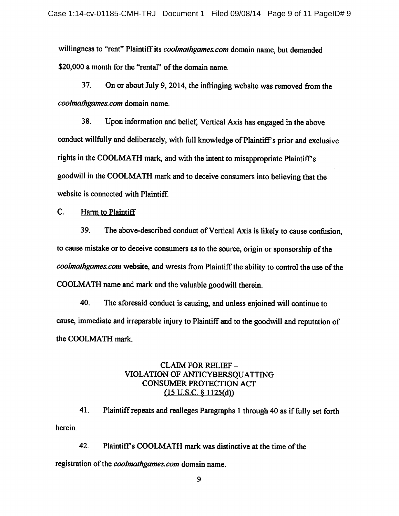willingness to "rent" Plaintiff its **coolmathgames.com** domain name, but demanded \$20,000 a month for the "rental" of the domain name.

37. On or about July 9, 2014, the infringing website was removed from the **coolmathgames.com** domain name.

38. Uponinformation and belief, Vertical Axis has engaged in the above conduct willfully and deliberately, with full knowledge of Plaintiff's prior and exclusive rights in the COOLMATH mark, and with the intent to misappropriate Plaintiff's goodwill in the COOLMATH mark and to deceive consumers into believing that the website is connected with Plaintiff.

C. Harm to Plaintiff

39. The above-described conductof Vertical Axis is likely to cause confusion, to cause mistake or to deceive consumers as to the source, origin or sponsorship of the coolmathgames.com website, and wrests from Plaintiff the ability to control the use of the COOLMATH name and mark and the valuablegoodwill therein.

40. The aforesaid conduct is causing, and unless enjoined will continue to cause, immediate andirreparable injury to Plaintiff and to the goodwill and reputation of the COOLMATH mark.

# CLAIM FOR RELIEF - VIOLATION OF ANTICYBERSQUATTING CONSUMER PROTECTION ACT  $(15 \text{ U.S.C. } \S 1125(d))$

41. Plaintiff repeats and realleges Paragraphs 1 through 40 as if fully set forth herein.

42. Plaintiff's COOLMATH mark was distinctive at the time of the registration of the *coolmathgames.com* domain name.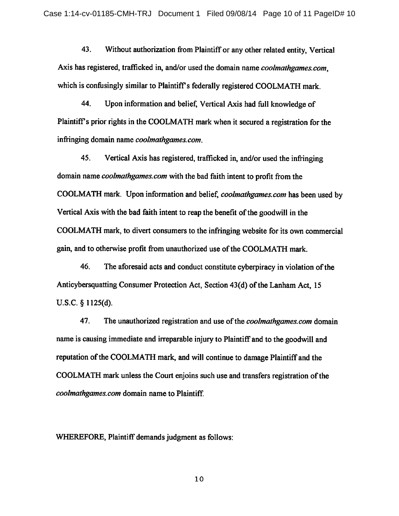43. Without authorization from Plaintiff or any other related entity, Vertical Axis has registered, trafficked in, and/or used the domain name *coolmathgames.com*, which is confusingly similar to Plaintiff's federally registered COOLMATH mark.

44. Upon information and belief, Vertical Axis had full knowledge of Plaintiff's prior rights in the COOLMATH mark when it secured a registration for the infringing domain name **coolmathgames.com.**

45. Vertical Axis has registered, trafficked in, and/or used the infringing domain name **coolmathgames.com** with the bad faith intent to profit from the COOLMATH mark. Upon information and belief, **coolmathgames.com** hasbeenused by Vertical Axis with the bad faith intent to reap the benefit of the goodwill in the COOLMATH mark, to divert consumers to the infringing website for its own commercial gain, and to otherwise profit from unauthorized use of the COOLMATH mark.

46. The aforesaid acts and conduct constitute cyberpiracy in violation of the Anticybersquatting Consumer Protection Act, Section 43(d) of the Lanham Act, 15 U.S.C. § 1125(d).

47. The unauthorized registration and use ofthe **coolmathgames.com** domain name is causing immediate and irreparable injury to Plaintiff and to the goodwill and reputation of the COOLMATH mark, and will continue to damage Plaintiff and the COOLMATH mark unless the Court enjoins such use and transfers registration of the **coolmathgames.com** domain name to Plaintiff.

WHEREFORE, Plaintiff demands judgment as follows: